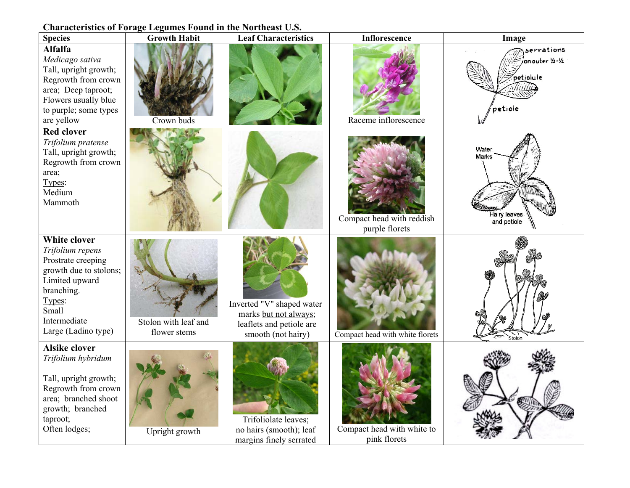## **Characteristics of Forage Legumes Found in the Northeast U.S.**

| <b>Species</b>                                                                                                                                                                    | <b>Growth Habit</b>                  | <b>Leaf Characteristics</b>                                                                          | <b>Inflorescence</b>                        | Image                                                  |
|-----------------------------------------------------------------------------------------------------------------------------------------------------------------------------------|--------------------------------------|------------------------------------------------------------------------------------------------------|---------------------------------------------|--------------------------------------------------------|
| <b>Alfalfa</b><br>Medicago sativa<br>Tall, upright growth;<br>Regrowth from crown<br>area; Deep taproot;<br>Flowers usually blue<br>to purple; some types<br>are yellow           | Crown buds                           |                                                                                                      | Raceme inflorescence                        | serrations<br>on outer 1/3-1/2<br>petiolule<br>petiole |
| <b>Red clover</b><br>Trifolium pratense<br>Tall, upright growth;<br>Regrowth from crown<br>area;<br>Types:<br>Medium<br>Mammoth                                                   |                                      |                                                                                                      | Compact head with reddish<br>purple florets | Water<br><b>Marks</b><br>Hairy leaves<br>and petiole   |
| <b>White clover</b><br>Trifolium repens<br>Prostrate creeping<br>growth due to stolons;<br>Limited upward<br>branching.<br>Types:<br>Small<br>Intermediate<br>Large (Ladino type) | Stolon with leaf and<br>flower stems | Inverted "V" shaped water<br>marks but not always;<br>leaflets and petiole are<br>smooth (not hairy) | Compact head with white florets             | Stolon                                                 |
| <b>Alsike clover</b><br>Trifolium hybridum<br>Tall, upright growth;<br>Regrowth from crown<br>area; branched shoot<br>growth; branched<br>taproot;<br>Often lodges;               | Upright growth                       | Trifoliolate leaves;<br>no hairs (smooth); leaf<br>margins finely serrated                           | Compact head with white to<br>pink florets  |                                                        |